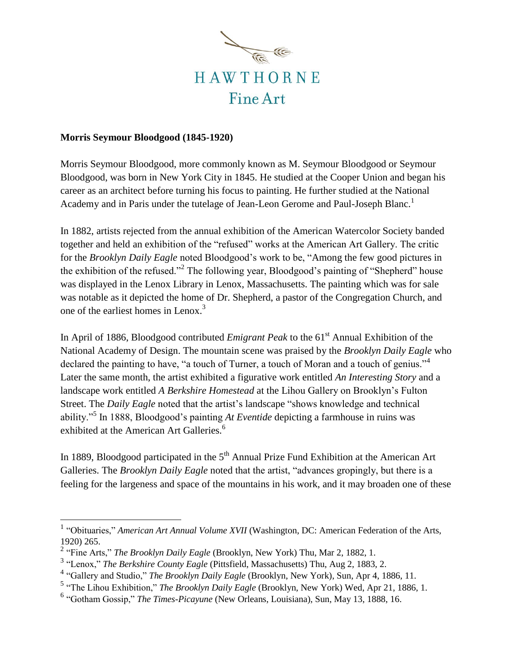

## **Morris Seymour Bloodgood (1845-1920)**

Morris Seymour Bloodgood, more commonly known as M. Seymour Bloodgood or Seymour Bloodgood, was born in New York City in 1845. He studied at the Cooper Union and began his career as an architect before turning his focus to painting. He further studied at the National Academy and in Paris under the tutelage of Jean-Leon Gerome and Paul-Joseph Blanc.<sup>1</sup>

In 1882, artists rejected from the annual exhibition of the American Watercolor Society banded together and held an exhibition of the "refused" works at the American Art Gallery. The critic for the *Brooklyn Daily Eagle* noted Bloodgood's work to be, "Among the few good pictures in the exhibition of the refused."<sup>2</sup> The following year, Bloodgood's painting of "Shepherd" house was displayed in the Lenox Library in Lenox, Massachusetts. The painting which was for sale was notable as it depicted the home of Dr. Shepherd, a pastor of the Congregation Church, and one of the earliest homes in Lenox.<sup>3</sup>

In April of 1886, Bloodgood contributed *Emigrant Peak* to the 61<sup>st</sup> Annual Exhibition of the National Academy of Design. The mountain scene was praised by the *Brooklyn Daily Eagle* who declared the painting to have, "a touch of Turner, a touch of Moran and a touch of genius."<sup>4</sup> Later the same month, the artist exhibited a figurative work entitled *An Interesting Story* and a landscape work entitled *A Berkshire Homestead* at the Lihou Gallery on Brooklyn's Fulton Street. The *Daily Eagle* noted that the artist's landscape "shows knowledge and technical ability."<sup>5</sup> In 1888, Bloodgood's painting *At Eventide* depicting a farmhouse in ruins was exhibited at the American Art Galleries.<sup>6</sup>

In 1889, Bloodgood participated in the  $5<sup>th</sup>$  Annual Prize Fund Exhibition at the American Art Galleries. The *Brooklyn Daily Eagle* noted that the artist, "advances gropingly, but there is a feeling for the largeness and space of the mountains in his work, and it may broaden one of these

 1 "Obituaries," *American Art Annual Volume XVII* (Washington, DC: American Federation of the Arts, 1920) 265.

<sup>&</sup>lt;sup>2</sup> "Fine Arts," *The Brooklyn Daily Eagle* (Brooklyn, New York) Thu, Mar 2, 1882, 1.

<sup>3</sup> "Lenox," *The Berkshire County Eagle* (Pittsfield, Massachusetts) Thu, Aug 2, 1883, 2.

<sup>4</sup> "Gallery and Studio," *The Brooklyn Daily Eagle* (Brooklyn, New York), Sun, Apr 4, 1886, 11.

<sup>5</sup> "The Lihou Exhibition," *The Brooklyn Daily Eagle* (Brooklyn, New York) Wed, Apr 21, 1886, 1.

<sup>6</sup> "Gotham Gossip," *The Times-Picayune* (New Orleans, Louisiana), Sun, May 13, 1888, 16.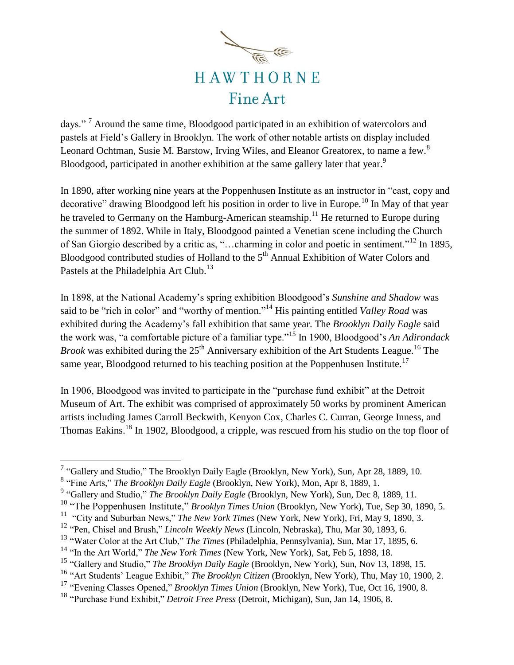

days." <sup>7</sup> Around the same time, Bloodgood participated in an exhibition of watercolors and pastels at Field's Gallery in Brooklyn. The work of other notable artists on display included Leonard Ochtman, Susie M. Barstow, Irving Wiles, and Eleanor Greatorex, to name a few.<sup>8</sup> Bloodgood, participated in another exhibition at the same gallery later that year.<sup>9</sup>

In 1890, after working nine years at the Poppenhusen Institute as an instructor in "cast, copy and decorative" drawing Bloodgood left his position in order to live in Europe.<sup>10</sup> In May of that year he traveled to Germany on the Hamburg-American steamship.<sup>11</sup> He returned to Europe during the summer of 1892. While in Italy, Bloodgood painted a Venetian scene including the Church of San Giorgio described by a critic as, "…charming in color and poetic in sentiment."<sup>12</sup> In 1895, Bloodgood contributed studies of Holland to the 5<sup>th</sup> Annual Exhibition of Water Colors and Pastels at the Philadelphia Art Club.<sup>13</sup>

In 1898, at the National Academy's spring exhibition Bloodgood's *Sunshine and Shadow* was said to be "rich in color" and "worthy of mention." <sup>14</sup> His painting entitled *Valley Road* was exhibited during the Academy's fall exhibition that same year. The *Brooklyn Daily Eagle* said the work was, "a comfortable picture of a familiar type."<sup>15</sup> In 1900, Bloodgood's *An Adirondack Brook* was exhibited during the  $25<sup>th</sup>$  Anniversary exhibition of the Art Students League.<sup>16</sup> The same year, Bloodgood returned to his teaching position at the Poppenhusen Institute.<sup>17</sup>

In 1906, Bloodgood was invited to participate in the "purchase fund exhibit" at the Detroit Museum of Art. The exhibit was comprised of approximately 50 works by prominent American artists including James Carroll Beckwith, Kenyon Cox, Charles C. Curran, George Inness, and Thomas Eakins.<sup>18</sup> In 1902, Bloodgood, a cripple, was rescued from his studio on the top floor of

<sup>&</sup>lt;sup>7</sup> "Gallery and Studio," The Brooklyn Daily Eagle (Brooklyn, New York), Sun, Apr 28, 1889, 10.

<sup>8</sup> "Fine Arts," *The Brooklyn Daily Eagle* (Brooklyn, New York), Mon, Apr 8, 1889, 1.

<sup>&</sup>lt;sup>9</sup> "Gallery and Studio," *The Brooklyn Daily Eagle* (Brooklyn, New York), Sun, Dec 8, 1889, 11.

<sup>&</sup>lt;sup>10</sup> "The Poppenhusen Institute," *Brooklyn Times Union* (Brooklyn, New York), Tue, Sep 30, 1890, 5.

<sup>11</sup> "City and Suburban News," *The New York Times* (New York, New York), Fri, May 9, 1890, 3.

<sup>12</sup> "Pen, Chisel and Brush," *Lincoln Weekly News* (Lincoln, Nebraska), Thu, Mar 30, 1893, 6.

<sup>13</sup> "Water Color at the Art Club," *The Times* (Philadelphia, Pennsylvania), Sun, Mar 17, 1895, 6.

<sup>14</sup> "In the Art World," *The New York Times* (New York, New York), Sat, Feb 5, 1898, 18.

<sup>15</sup> "Gallery and Studio," *The Brooklyn Daily Eagle* (Brooklyn, New York), Sun, Nov 13, 1898, 15.

<sup>16</sup> "Art Students' League Exhibit," *The Brooklyn Citizen* (Brooklyn, New York), Thu, May 10, 1900, 2.

<sup>17</sup> "Evening Classes Opened," *Brooklyn Times Union* (Brooklyn, New York), Tue, Oct 16, 1900, 8.

<sup>18</sup> "Purchase Fund Exhibit," *Detroit Free Press* (Detroit, Michigan), Sun, Jan 14, 1906, 8.